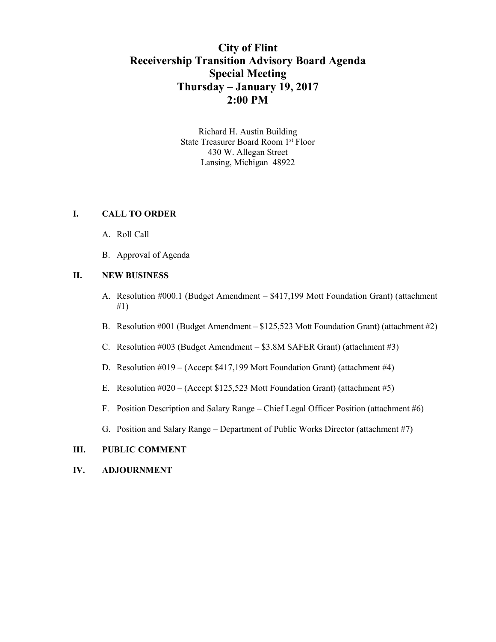# **City of Flint Receivership Transition Advisory Board Agenda Special Meeting Thursday – January 19, 2017 2:00 PM**

Richard H. Austin Building State Treasurer Board Room 1 st Floor 430 W. Allegan Street Lansing, Michigan 48922

## **I. CALL TO ORDER**

- A. Roll Call
- B. Approval of Agenda

### **II. NEW BUSINESS**

- A. Resolution #000.1 (Budget Amendment \$417,199 Mott Foundation Grant) (attachment #1)
- B. Resolution #001 (Budget Amendment \$125,523 Mott Foundation Grant) (attachment #2)
- C. Resolution #003 (Budget Amendment \$3.8M SAFER Grant) (attachment #3)
- D. Resolution #019 (Accept \$417,199 Mott Foundation Grant) (attachment #4)
- E. Resolution  $\text{\#020} (\text{Accept } \$125,523 \text{ Mott Foundation Grant})$  (attachment  $\text{\#5}$ )
- F. Position Description and Salary Range Chief Legal Officer Position (attachment #6)
- G. Position and Salary Range Department of Public Works Director (attachment #7)

## **III. PUBLIC COMMENT**

### **IV. ADJOURNMENT**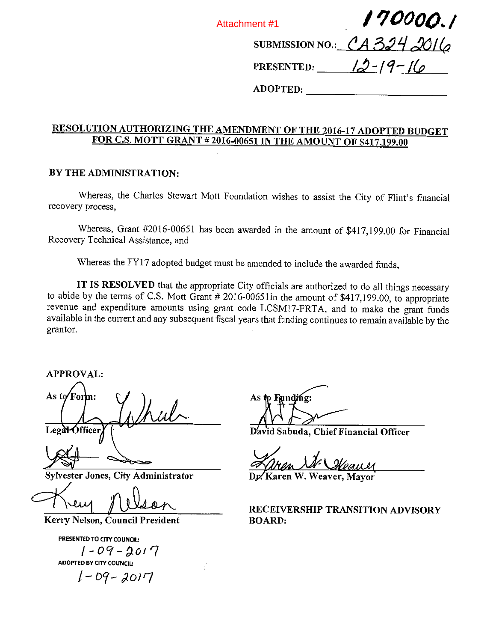Attachment #1

190000.1

SUBMISSION NO.: CA3242016

PRESENTED:  $\frac{12-19-16}{9}$ 

ADOPTED: —

# RESOLUTION AUTHORIZING THE AMENDMENT OF THE 2016-17 ADOPTED BUDGET FOR C.S. MOTT GRANT #2016-00651 IN THE AMOUNT OF S417,199.00

## BY THE ADMINISTRATION:

Whereas, the Charles Stewart Mott Foundation wishes to assist the City of Flint's financial recovery process,

Whereas, Grant #2016-00651 has been awarded in the amount of \$417,199.00 for Financial Recovery Technical Assistance, and

Whereas the FY17 adopted budget must be amended to include the awarded funds,

IT IS RESOLVED that the appropriate City officials are authorized to do all things necessary to abide by the terms of C.S. Mott Grant # 2016-00651in the amount of \$417,199.00, to appropriate revenue and expenditure amounts using grant code LCSM17-FRTA, and to make the grant funds available in the current and any subsequent fiscal years that funding continues to remain available by the grantor.

APPROVAL:

As to Form:  $\sim$  J Legal Officer

Sylvester Jones, City Administrator

Kerry Nelson, Council President

PRESENTED TO CITY COUNCIL: i—o?--≤io'7 ADOPTED BY CITY COUNCIL:  $1 - 09 - 2017$ 

As to Funding:

David Sabuda, Chief Financial Officer

Zaren St. Steauer

Dx Karen W. Weaver, Mayor

RECEIVERSHIP TRANSITION ADVISORY BOARD: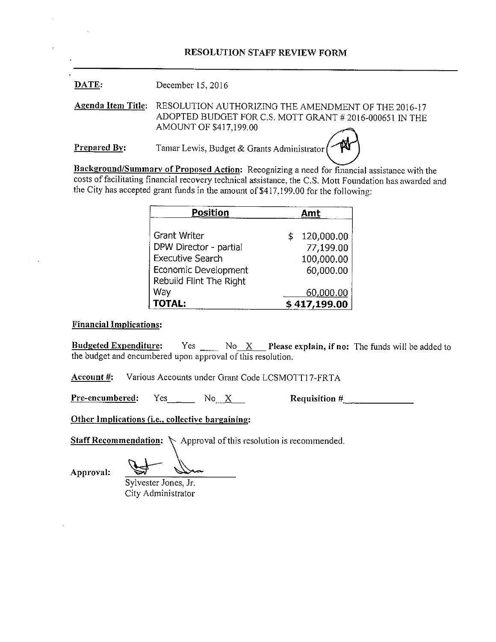## RESOLUTION STAFF REVIEW FORM

DATE: December 15, 2016

Agenda Item Title: RESOLUTION AUTHORIZING THE AMENDMENT OF THE 2016-17 ADOPTED BUDGET FOR C.S. MOTT GRANT #2016-000651 IN THE AMOUNT OF \$417,199.00

Prepared By: Tamar Lewis, Budget & Grants Administrator

Background/Summary of Proposed Action: Recognizing <sup>a</sup> need for financial assistance with the costs of facilitating financial recovery technical assistance, the C.S. Mott Foundation has awarded and the City has accepted grant funds in the amount of  $$417,199.00$  for the following:

| <b>Position</b>         | Amt              |
|-------------------------|------------------|
|                         |                  |
| Grant Writer            | 120,000.00<br>\$ |
| DPW Director - partial  | 77,199.00        |
| <b>Executive Search</b> | 100,000.00       |
| Economic Development    | 60,000.00        |
| Rebuild Flint The Right |                  |
| Way                     | <u>60,000.00</u> |
| <b>TOTAL:</b>           | \$417,199.00     |

### Financial Implications:

**Budgeted Expenditure:** Yes  $N_0 X$  Please explain, if no: The funds will be added to the budget and encumbered upon approval of this resolution.

Account #: Various Accounts under Grant Code LCSMOTT17-FRTA

 $Pre-encumbered:$  Yes No X Requisition #

Other Implications (i.e., collective bargaining:

**Staff Recommendation:**  $\diagdown$  Approval of this resolution is recommended.

Approval: \_\_\_\_\_\_\_\_\_\_\_\_\_\_\_\_\_\_\_\_\_\_\_\_\_

Sylvester Jones, Jr. City Administrator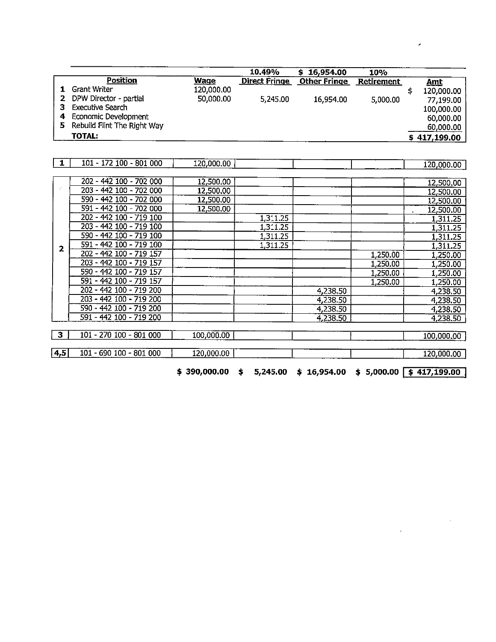|   |                             |             | 10.49%               | 16,954.00           | 10%               |              |
|---|-----------------------------|-------------|----------------------|---------------------|-------------------|--------------|
|   | <b>Position</b>             | <b>Wage</b> | <b>Direct Fringe</b> | <b>Other Fringe</b> | <b>Retirement</b> | <u>Amt</u>   |
|   | <b>Grant Writer</b>         | 120,000.00  |                      |                     |                   | 120,000.00   |
| 2 | DPW Director - partial      | 50,000.00   | 5,245.00             | 16,954.00           | 5,000.00          | 77,199.00    |
|   | Executive Search            |             |                      |                     |                   | 100,000.00   |
| 4 | Economic Development        |             |                      |                     |                   | 60,000.00    |
| 5 | Rebuild Flint The Right Way |             |                      |                     |                   | 60,000.00    |
|   | <b>TOTAL:</b>               |             |                      |                     |                   | \$417,199.00 |

| 1                | 101 - 172 100 - 801 000 | 120,000.00 |          |          |          | 120,000.00 |
|------------------|-------------------------|------------|----------|----------|----------|------------|
|                  |                         |            |          |          |          |            |
|                  | 202 - 442 100 - 702 000 | 12,500.00  |          |          |          | 12,500.00  |
|                  | 203 - 442 100 - 702 000 | 12,500.00  |          |          |          | 12,500.00  |
|                  | 590 - 442 100 - 702 000 | 12,500.00  |          |          |          | 12,500.00  |
|                  | 591 - 442 100 - 702 000 | 12,500.00  |          |          |          | 12,500.00  |
|                  | 202 - 442 100 - 719 100 |            | 1,311.25 |          |          | 1,311.25   |
|                  | 203 - 442 100 - 719 100 |            | 1,311.25 |          |          | 1,311.25   |
|                  | 590 - 442 100 - 719 100 |            | 1,311.25 |          |          | 1,311.25   |
| 2                | 591 - 442 100 - 719 100 |            | 1,311.25 |          |          | 1,311.25   |
|                  | 202 - 442 100 - 719 157 |            |          |          | 1,250.00 | 1,250.00   |
|                  | 203 - 442 100 - 719 157 |            |          |          | 1,250.00 | 1,250.00   |
|                  | 590 - 442 100 - 719 157 |            |          |          | 1,250.00 | 1,250.00   |
|                  | 591 - 442 100 - 719 157 |            |          |          | 1,250.00 | 1,250.00   |
|                  | 202 - 442 100 - 719 200 |            |          | 4,238.50 |          | 4,238.50   |
|                  | 203 - 442 100 - 719 200 |            |          | 4,238.50 |          | 4,238.50   |
|                  | 590 - 442 100 - 719 200 |            |          | 4,238.50 |          | 4,238.50   |
|                  | 591 - 442 100 - 719 200 |            |          | 4,238.50 |          | 4,238.50   |
|                  |                         |            |          |          |          |            |
| 3                | 101 - 270 100 - 801 000 | 100,000.00 |          |          |          | 100,000.00 |
|                  |                         |            |          |          |          |            |
| $\overline{a,5}$ | 101 - 690 100 - 801 000 | 120,000.00 |          |          |          | 120,000.00 |

 $$390,000.00 \t$ 5,245.00 \t$ 16,954.00 \t$ 5,000.00 \t$ 417,199.00}$ 

 $\overline{\phantom{a}}$ 

 $\sim$   $\epsilon$ 

 $\sim 10^{11}$  km s  $^{-1}$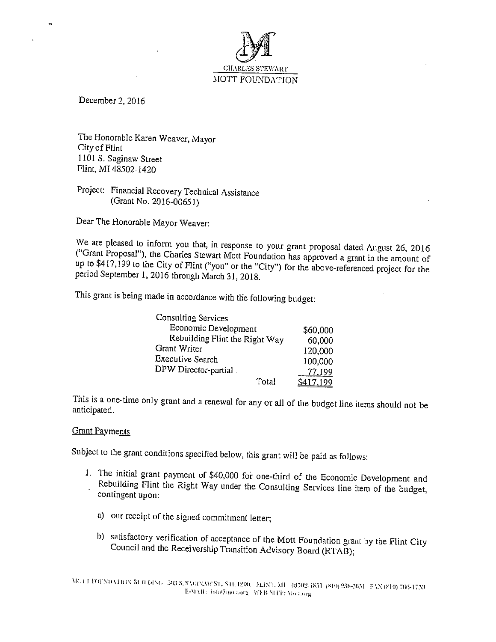

December 2, 2016

 $\overline{\mathbf{u}}$ 

The Honorable Karen Weaver, Mayor City of Flint 1101 S. Saginaw Street Flint, Ml 48502-1420

## Project: Financial Recovery Technical Assistance (Grant No. 2016-00651)

Dear The Honorable Mayor Weaver:

We are pleased to inform you that, in response to your grant proposal dated August 26, <sup>2016</sup> ("Grant Proposal"), the Charles Stewart Mott Foundation has approved <sup>a</sup> grant in the amount of up to \$417,199 to the City of Flint ("you" or the "City") for the above-referenced project for the period September 1,2016 through March 31, 2018.

This grant is being made in accordance with the following budget:

| Consulting Services            |           |
|--------------------------------|-----------|
| Economic Development           | \$60,000  |
| Rebuilding Flint the Right Way | 60,000    |
| Grant Writer                   | 120,000   |
| <b>Executive Search</b>        | 100,000   |
| DPW Director-partial.          | 77.199    |
| Total                          | \$417,199 |

This is <sup>a</sup> one-time only grant and <sup>a</sup> renewal for any or all of the budget line items should not be anticipated.

### Grant Payments

Subject to the grant conditions specified below, this grant will be paid as follows:

- 1. The initial grant payment of \$40,000 for one-third of the Economic Development and Rebuilding Flint the Right Way under the Consulting Services line item of the budget, contingent upon:
	- a) our receipt of the signed commitment letter;
	- h) satisfactory verification of acceptance of the Mott Foundation grant by the Flint City Council and the Receivership Transition Advisory Board (RTAB);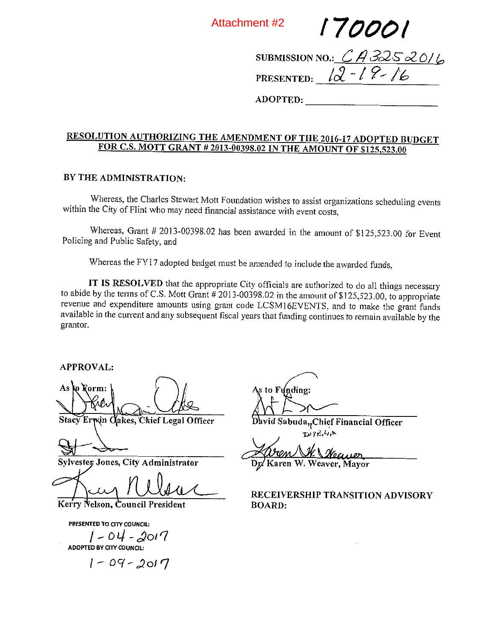Attachment #2

I 700o/

SUBMISSION NO.:  $CA$ PRESENTED:  $12 - 19 - 16$ 

ADOPTED:

## RESOLUTION AUTHORIZING THE AMENDMENT OF THE 2016-17 ADOPTED BUDGET FOR C.S. MOTT GRANT #2013-00398.02 IN THE AMOUNT OF \$125,523.00

## BY THE ADMINISTRATION:

Whereas, the Charles Stewart Mott Foundation wishes to assist organizations scheduling events within the City of Flint who may need financial assistance with event costs,

Whereas, Grant  $# 2013-00398.02$  has been awarded in the amount of  $$125,523.00$  for Event Policing and Public Safety, and

Whereas the FY17 adopted budget must be amended to include the awarded funds,

IT IS RESOLVED that the appropriate City officials are authorized to do all things necessary to abide by the terms of C.S. Mott Grant #2013-00398.02 in the amount of \$125,523.00, to appropriate revenue and expenditure amounts using grant code LCSMI 6EVENTS. and to make the grant funds available in the current and any subsequent fiscal years that funding continues to remain available by the grantor.

APPROVAL:

As to Korm:

Stacy Erwin Cakes, Chief Legal Officer

Sylvester, Jones, City Administrator

Kerry Nelson, Council President

PRESENTED TO CITY COUNCIL:

 $1 - 04 - 201$ ADOPTED BY CITY COUNCIL:

 $1 - 09 - 2017$ 

s to Funding:

David Sabuda, Chief Financial Officer  $Tr 211$ 

 $\mathcal{L}$ Dp'Karen W. Weaver, Mayor

RECEIVERSHIP TRANSITION ADVISORY BOARD: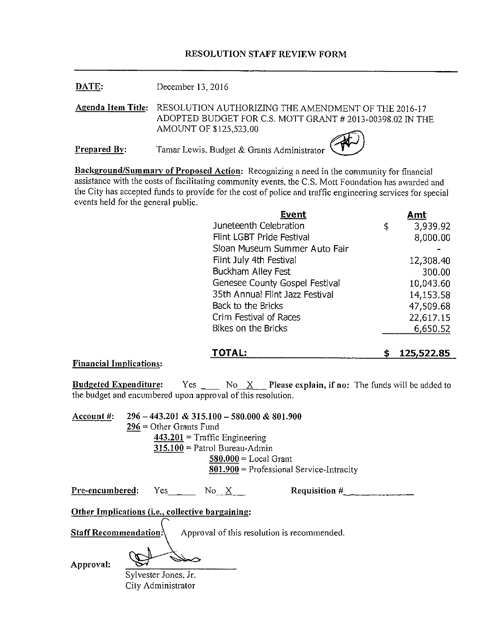## RESOLUTION STAFF REVIEW FORM

DATE: December 13, 2016

Agenda Item Title: RESOLUTION AUTHORIZING THE AMENDMENT OF THE 2016-17 ADOPTED BUDGET FOR C.S. MOTT GRANT # 2013-00398.02 IN THE AMOUNT OF \$125,523.00

**Prepared By:** Tamar Lewis, Budget & Grants Administrator

Background/Summary of Proposed Action: Recognizing a need in the community for financial assistance with the costs of facilitating community events, the C.S. Mott Foundation has awarded and the City has accepted funds to provide for the cost of police and traffic engineering services for special events held for the general public.

| <b>Event</b>                    | Amt            |
|---------------------------------|----------------|
| Juneteenth Celebration          | 3,939.92<br>\$ |
| Flint LGBT Pride Festival       | 8,000.00       |
| Sloan Museum Summer Auto Fair   |                |
| Flint July 4th Festival         | 12,308.40      |
| Buckham Alley Fest              | 300.00         |
| Genesee County Gospel Festival  | 10,043.60      |
| 35th Annual Flint Jazz Festival | 14,153.58      |
| Back to the Bricks              | 47,509.68      |
| Crim Festival of Races          | 22,617.15      |
| Bikes on the Bricks             | 6,650.52       |
|                                 |                |

## TOTAL: \$ 125,522.85

Financial Implications:

**Budgeted Expenditure:** Yes  $\_\_\_\_\$  No<sub>\_X</sub>\_ Please explain, if no: The funds will be added to the budget and encumbered upon approval of this resolution.

| Account #:                   |                           | $296 - 443.201 \& 315.100 - 580.000 \& 801.900$           |                                             |  |
|------------------------------|---------------------------|-----------------------------------------------------------|---------------------------------------------|--|
|                              | $296 =$ Other Grants Fund |                                                           |                                             |  |
|                              |                           | $443.201$ = Traffic Engineering                           |                                             |  |
|                              |                           | $315.100$ = Patrol Bureau-Admin                           |                                             |  |
|                              |                           | $580.000 = Local Grant$                                   |                                             |  |
|                              |                           |                                                           | $801.900$ = Professional Service-Intracity  |  |
| Pre-encumbered:              | Yes $\frac{1}{2}$         | No X                                                      | <b>Requisition #</b>                        |  |
|                              |                           | Other Implications ( <i>i.e.</i> , collective bargaining: |                                             |  |
| <b>Staff Recommendation:</b> |                           |                                                           | Approval of this resolution is recommended. |  |

Approval:

Sylvester Jones, Jr. City Administrator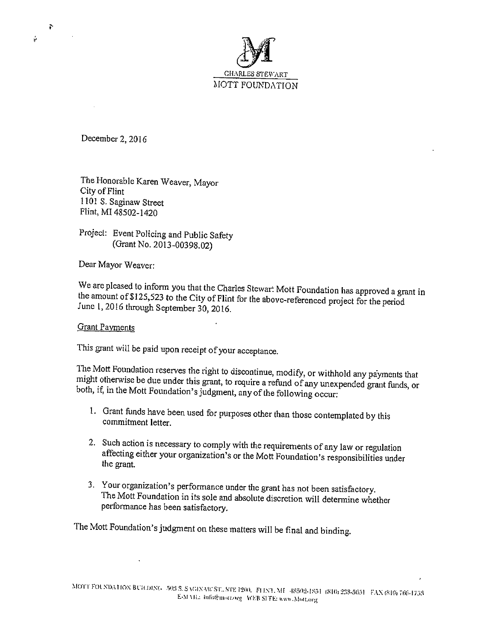

December 2, 2016

The Honorable Karen Weaver, Mayor City of Flint 11013. Saginaw Street Flint, MI 48502-1420

Project: Event Policing and Public Safety (Grant No. 2013-00398.02)

Dear Mayor Weaver:

We are pleased to inform you that the Charles Stewart Mott Foundation has approved <sup>a</sup> grant in the amount of\$ 125,523 to the City of Flint for the above-referenced project for the period June 1,2016 through September 30, 2016.

### Grant Payments

This grant will be paid upon receipt of your acceptance.

The Mott Foundation reserves the right to discontinue, modify, or withhold any payments that might otherwise be due under this grant, to require <sup>a</sup> refund of any unexpended grant funds, or both, if, in the Mott Foundation's judgment, any of the following occur:

- 1. Grant funds have been used for purposes other than those contemplated by this commitment letter.
- 2. Such action is necessary to comply with the requirements of any law or regulation affecting either your organization's or the Mott Foundation's responsibilities under the grant.
- 3. Your organization's performance under the grant has not been satisfactory. The Mott Foundation in its sole and absolute discretion will determine whether performance has been satisfactory.

The Mott Foundation's judgment on these matters will be final and binding.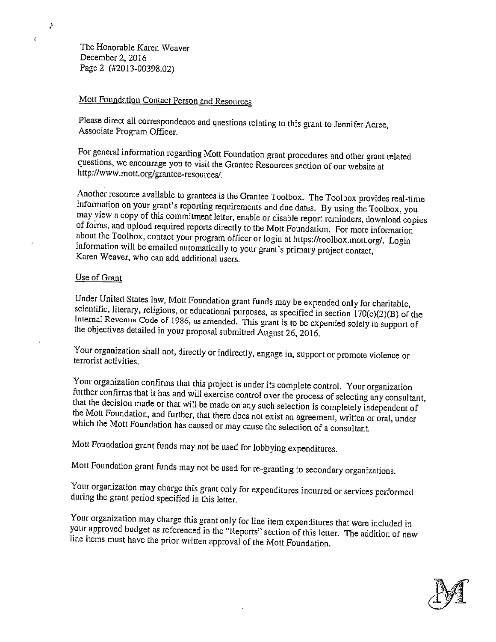The Honorable Karen Weaver December 2, 2016 Page <sup>2</sup> (#2013-00398.02)

Ä

J.

## Mott Foundation Contact Person and Resources

Please direct all correspondence and questions relating to this grant to Jennifer Acree, Associate Program Officer.

For general information regarding Mott Foundation grant procedures and other grant related questions, we encourage you to visit the Grantee Resources section of our website at http://www.mott.org/grantee-resources/.

Another resource available to grantees is the Grantee Toolbox. The Toolbox provides real-time information on your grant's reporting requirements and clue dates. By using the Toolbox, you may view <sup>a</sup> copy of this commitment letter, enable or disable report reminders, download copies of foims, and upload required reports directly to the Mott Foundation. For more information about the Toolbox, contact your program officer or login at https://toolbox.mott.org/. Login information will be emailed automatically to your grant's primary project contact, Karen Weaver, who can add additional users.

## Use of Grant

Under United States law, Mott Foundation grant funds may be expended only for charitable, scientific, literary, religious, or educational purposes, as specified in section 170(c)(2)(B) of the Internal Revenue Code of 1986, as amended. This grant is to be expended solely in support of the objectives detailed in your proposal submitted August 26, 2016.

Your organization shall not, directly or indirectly, engage in, support or promote violence or terrorist activities.

Your organization confirms that this project is under its complete control. Your organization further confirms that it has and will exercise control over the process of selecting any consultant, that the decision made or that will be made on any such selection is completely independent of the Mott Foundation, and further, that there does not exist an agreement, written or oral, under which the Mott Foundation has caused or may cause the selection of <sup>a</sup> consultant.

Mott Foundation grant funds may not be used for lobbying expenditures.

Mott Foundation grant funds may not be used for re-granting to secondary organizations.

Your organization may charge this grant only for expenditures incurred or services performed during the grant period specified in this letter.

Your organization may charge this grant only for line item expenditures that were included in your approved budget as referenced in the "Reports" section of this letter. The addition of new line items must have the prior written approval of the Mott Foundation.

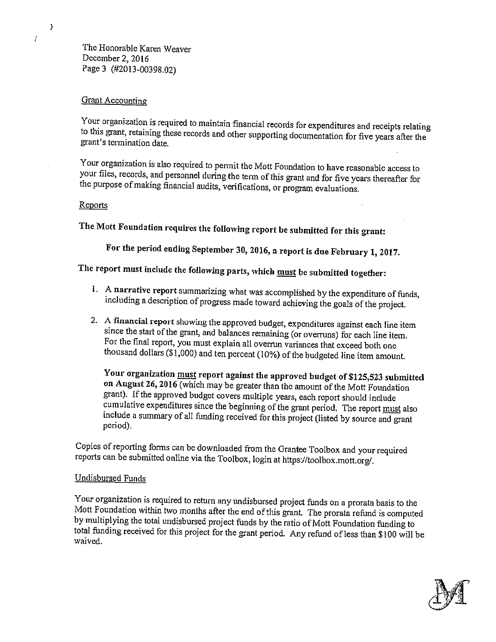The Honorable Karen Weaver December 2, 2016 Page <sup>3</sup> (#2013-00398.02)

### Grant Accounting

 $\boldsymbol{\Sigma}$ 

į,

Your organization is required to maintain financial records for expenditures and receipts relating to this grant, retaining these records and other supporting documentation for five years after the grant's termination date.

Your organization is also required to permit the Mott Foundation to have reasonable access to your files, records, and personnel during the term of this grant and for five years thereafter for the purpose ofmaking financial audits, verifications, or program evaluations.

### Reports

The Mott Foundation requires the following report be submitted for this grant:

For the period ending September 30, 2016, <sup>a</sup> report is due February 1, 2017.

The report must include the following parts, which must be submitted together:

- I. A narrative report summarizing what was accomplished by the expenditure of funds, including <sup>a</sup> description of progress made toward achieving the goals of the project.
- 2. <sup>A</sup> financial report showing the approved budget, expenditures against each line item since the start of the grant, and balances remaining (or overruns) for each line item. For the final report, you must explain all overrun variances that exceed both one thousand dollars (\$1,000) and ten percent (10%) of the budgeted line item amount.

Your organization must report against the approved budget of \$125,523 submitted on August 26, 2016 (which may be greater than the amount of the Mott Foundation grant). If the approved budget covers multiple years, each report should include cumulative expenditures since the beginning of the grant period. The report must also include <sup>a</sup> summary of all funding received for this project (listed by source and grant period).

Copies of reporting forms can be downloaded from the Grantee Toolbox and your required reports can be submitted online via the Toolbox, login at https://toolbox.mott.org/.

### Undisbursed Funds

Your organization is required to return any undisbursed project funds on <sup>a</sup> prorata basis to the Mott Foundation within two monlhs after the end of this grant. The prorata refund is computed by multiplying the total undisbursed project funds by the ratio of Mott Foundation funding to total finding received for this project for the grant period. Any refund of less than \$100 will be waived.

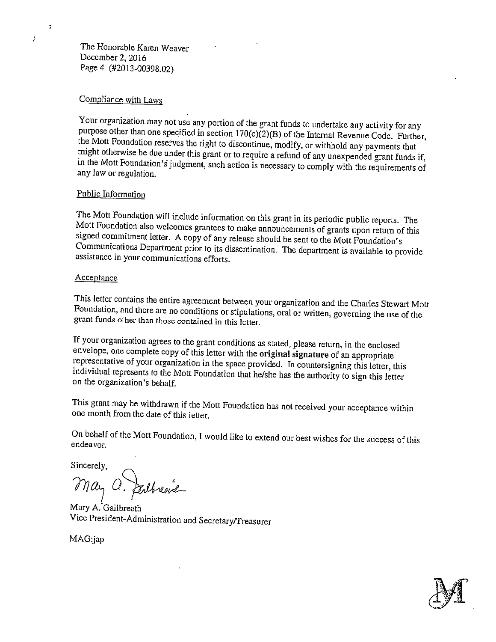The Honorable Karen Weaver December 2, 2016 Page 4 (#2013-00398.02)

### Compliance with Laws

Your organization may not use any portion of the grant funds to undertake any activity for any purpose other than one specified in section  $170(c)(2)(B)$  of the Internal Revenue Code. Further, the Mott Foundation resetves the right to discontinue, modify, or withhold any payments that might otherwise be due under this grant or to require <sup>a</sup> refund of any unexpended grant funds if, in the Mott Foundation's judgment, such action is necessary to comply with the requirements of any law or regulation.

## Public Information

The Mott Foundation will include information on this grant in its periodic public reports. The Mott Foundation also welcomes grantees to make announcements of grants upon return of this signed commitment letter. A copy of any release should be sent to the Mott Foundation's Communications Department prior to its dissemination. The department is available to provide assistance in your communications efforts.

### **Acceptance**

This letter contains the entire agreement between your organization and the Charles Stewart Mott Foundation, and there are no conditions or stipulations, oral or written, governing the use of the grant funds other than those contained in this letter.

If your organization agrees to the grant conditions as stated, please return, in the enclosed envelope, one complete copy of this letter with the original signature of an appropriate representative of your organization in the space provided. In countersigning this letter, this individual represents to the Mott Foundation that he/she has the authority to sign this letter on the organization's behalf.

This grant may be withdrawn if the Mott Foundation has not received your acceptance within one month from the date of this letter.

On behalf of the Mott Foundation, I would like to extend our best wishes for the success of this endeavor,

Sincerely,

?7ya~  $\bigcap_{i=1}^n A_{i}$ 

Mary A. Gailbreath Vice President-Administration and Secretary/Treasurer

MAG:jap



 $\overline{\mathbf{r}}$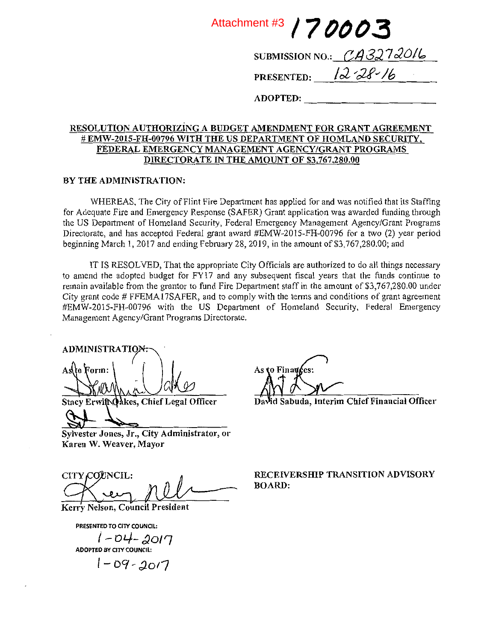Attachment #3 / 7 0003 SUBMISSION NO.:  $CAG272016$ 

PRESENTED:  $1228-16$ 

ADOPTED:

## RESOLUTION AUTHORIZiNG A BUDGET AMENDMENT FOR GRANT AGREEMENT # EMW-2015-FH-00796 WITH THE US DEPARTMENT OF HOMLAND SECURITY, FEDERAL EMERGENCY MANAGEMENT AGENCY/GRANT PROGRAMS DIRECTORATE IN THE AMOUNT OF \$3,767,280.00

### BY THE ADMINISTRATION:

WHEREAS, The City of Flint Fire Department has applied for and was notified that its Staffing for Adequate Fire and Emergency Response (SAFER) Grant application was awarded fimding through the US Department of Homeland Security, Federal Emergency Management Agency/Grant Programs Directorate, and has accepted Federal grant award #EMW-2015-FH-00796 for <sup>a</sup> two (2) year period beginning March 1, 2017 and ending February 28, 2019, in the amount of \$3,767,280.00; and

IT IS RESOLVED, That the appropriate City Officials are authorized to do all things necessary to amend the adopted budget for FY17 and any subsequent fiscal years that the hinds continue to remain available from the grantor to fund Fire Department staff in the amount of \$3,767,280.00 under City grant code # FFEMA17SAFER, and to comply with the terms and conditions of grant agreement #EMW-2015-FH-00796 with the US Department of Homeland Security, Federal Emergency Management Agency/Grant Programs Directorate.

ADMINISTRATIO Asto Form:

Stacy Erwif Qakes, Chief Legal Officer

Sylvester Jones, Jr., City Administrator, or Karen W. Weaver, Mayor

Kerry Nelson, Council President

PRESENTED TO CITY COUNCIL:

 $|-D+2O/7|$ <br>ADOPTED BY CITY COUNCIL:

 $1 - D9 - 2017$ 

As to Finances:

d Sabuda, Interim Chief Financial Officer

C~rJNCIL: ~it—~--—--——~ ~%~IERSHIP TRANSITION ADVISORY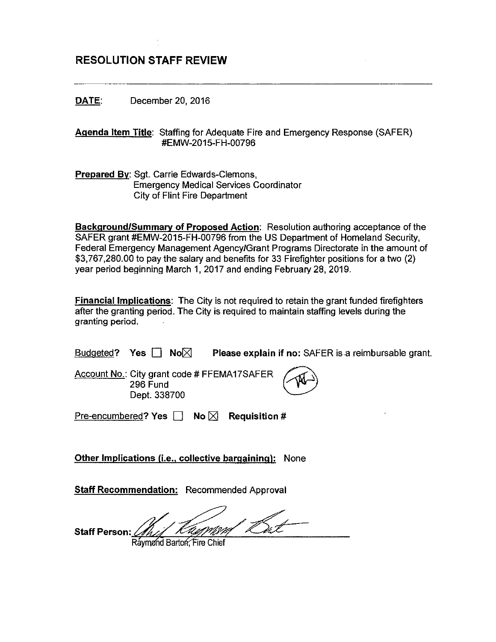# RESOLUTION STAFF REVIEW

DATE: December 20, 2016

Agenda Item Title: Staffing for Adequate Fire and Emergency Response (SAFER) #EMW-2015-FH-00796

Prepared By: Sgt. Carrie Edwards-Clemons, Emergency Medical Services Coordinator City of Flint Fire Department

Background/Summary of Proposed Action: Resolution authoring acceptance of the SAFER grant #EMW-2015-FH-00796 from the US Department of Homeland Security, Federal Emergency Management Agency/Grant Programs Directorate in the amount of \$3,767,280.00 to pay the salary and benefits for 33 Firefighter positions for <sup>a</sup> two (2) year period beginning March 1,2017 and ending February 28, 2019.

Financial Implications: The City is not required to retain the grant funded firefighters after the granting period. The City is required to maintain staffing levels during the granting period.

| Budgeted? Yes $\Box$ No $\boxtimes$ |  | Please explain if no: SAFER is a reimbursable grant. |
|-------------------------------------|--|------------------------------------------------------|
|                                     |  |                                                      |

Account No.: City grant code # FFEMAI7SAFER 296 Fund Dept. 338700



Pre-encumbered? Yes  $\Box$  No  $\boxtimes$  Requisition #

**Other Implications (i.e., collective bargaining):** None

**Staff Recommendation: Recommended Approval** 

Staff Person:

Raymønd Barton: Fire Chief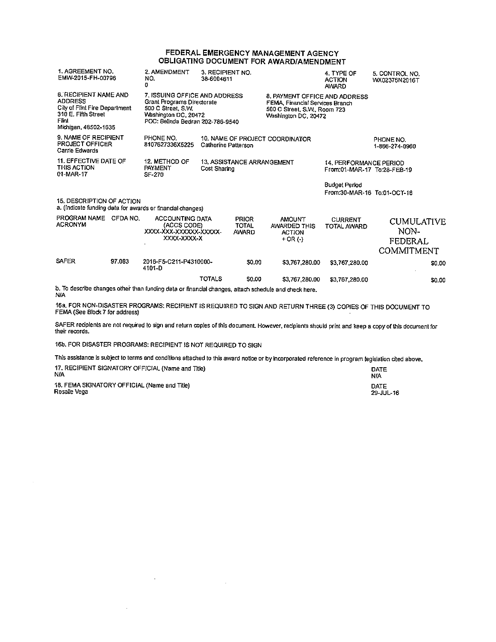#### FEDERAL EMERGENCY MANAGEMENT AGENCY OBLIGATING DOCUMENT FOR AWARDIAMENDMENT

| 1. AGREEMENT NO.<br>EMW-2015-FH-00796                                                                                            | 2. AMENDMENT<br>NO.<br>0                                                                                                                      | 3. RECIPIENT NO.<br>38-6004611 |                                              |                                                                                                                          | 4. TYPE OF<br><b>ACTION</b><br><b>AWARD</b>           | 5. CONTROL NO.<br>WX02376N2016T                    |
|----------------------------------------------------------------------------------------------------------------------------------|-----------------------------------------------------------------------------------------------------------------------------------------------|--------------------------------|----------------------------------------------|--------------------------------------------------------------------------------------------------------------------------|-------------------------------------------------------|----------------------------------------------------|
| 6. RECIPIENT NAME AND<br><b>ADDRESS</b><br>City of Flint Fire Department<br>310 E. Fifth Street<br>Flint<br>Michigan, 48502-1635 | 7. ISSUING OFFICE AND ADDRESS<br>Grant Programs Directorate<br>500 C Street, S.W.<br>Washington DC, 20472<br>POC: Belinda Bedran 202-786-9540 |                                |                                              | 8. PAYMENT OFFICE AND ADDRESS<br>FEMA, Financial Services Branch<br>500 C Street, S.W., Room 723<br>Washington DC, 20472 |                                                       |                                                    |
| 9. NAME OF RECIPIENT<br><b>PROJECT OFFICER</b><br>Carrie Edwards                                                                 | PHONE NO.<br>8107627336X5225                                                                                                                  | Catherine Patterson            |                                              | 10. NAME OF PROJECT COORDINATOR                                                                                          |                                                       | PHONE NO.<br>1-866-274-0960                        |
| 11. EFFECTIVE DATE OF<br>THIS ACTION<br>01-MAR-17                                                                                | 12. METHOD OF<br>PAYMENT<br>SF-270                                                                                                            | Cost Sharing                   | 13. ASSISTANCE ARRANGEMENT                   |                                                                                                                          | 14, PERFORMANCE PERIOD<br>From:01-MAR-17 To:28-FEB-19 |                                                    |
|                                                                                                                                  |                                                                                                                                               |                                |                                              |                                                                                                                          | <b>Budget Period</b><br>From:30-MAR-16 To:01-OCT-16   |                                                    |
| 15. DESCRIPTION OF ACTION<br>a. (Indicate funding data for awards or financial changes)                                          |                                                                                                                                               |                                |                                              |                                                                                                                          |                                                       |                                                    |
| PROGRAM NAME CFDA NO.<br><b>ACRONYM</b>                                                                                          | ACCOUNTING DATA<br>(ACCS CODE)<br>XXXX-XXX-XXXXXXX-XXXXX-<br>XXXX-XXXX-X                                                                      |                                | <b>PRIOR</b><br><b>TOTAL</b><br><b>AWARD</b> | <b>AMOUNT</b><br><b>AWARDED THIS</b><br><b>ACTION</b><br>$+$ OR $($ - $)$                                                | <b>CURRENT</b><br>TOTAL AWARD                         | <b>CUMULATIVE</b><br>NON-<br>FEDERAL<br>COMMITMENT |
| <b>SAFER</b><br>97.083                                                                                                           | 2016-F5-C211-P4310000-<br>4101-D                                                                                                              |                                | <b>SO.00</b>                                 | \$3,767,280.00                                                                                                           | \$3,767,280.00                                        | \$0.00                                             |
| $\sim$ $\sim$ $\sim$ $\sim$ $\sim$<br>.                                                                                          |                                                                                                                                               | <b>TOTALS</b>                  | <b>S0.00</b>                                 | \$3,767,280.00                                                                                                           | \$3,767,280.00                                        | \$0.00                                             |

b, To describe changes other than funding data or financial changes, attach schedule and check here. N!A

16a. FOR NON-DISASTER PROGRAMS: RECIPIENT IS REQUIRED TO SIGN AND RETURN THREE(S) COPIES OF THIS DOCUMENT TO FEMA (See Block 7 for address)  $\overline{\phantom{a}}$  and  $\overline{\phantom{a}}$  and  $\overline{\phantom{a}}$  and  $\overline{\phantom{a}}$  and  $\overline{\phantom{a}}$  and  $\overline{\phantom{a}}$  and  $\overline{\phantom{a}}$  and  $\overline{\phantom{a}}$  and  $\overline{\phantom{a}}$  and  $\overline{\phantom{a}}$  and  $\overline{\phantom{a}}$  and  $\overline{\phantom{a}}$  an

SAFER recipients are not required to sign and return copies of this document. However, recipients should print and keep a copy of this document for their records.

16b. FOR DISASTER PROGRAMS: RECIPIENT IS NOT REQUIRED TO SIGN

 $\sim$ 

 $\cdot$ 

This assistance is subject to terms and conditions attached to this award notice or by incorporated reference in program legislation cited above.

| 17. RECIPIENT SIGNATORY OFFICIAL (Name and Title) | <b>DATE</b> |
|---------------------------------------------------|-------------|
| N/A                                               | NIA         |
| 18. FEMA SIGNATORY OFFICIAL (Name and Title)      | DATE        |
| Rosalie Vega                                      | 29 JUL-16   |

 $\sim$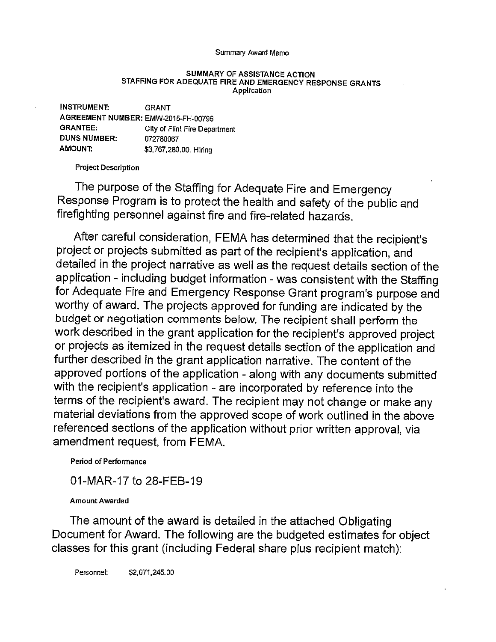#### Summanj Award Memo

#### SUMMARY OF ASSISTANCE ACTION STAFFING FOR ADEQUATE FIRE AND EMERGENCY RESPONSE GRANTS Application

| <b>INSTRUMENT:</b>                  | <b>GRANT</b>                  |
|-------------------------------------|-------------------------------|
| AGREEMENT NUMBER: EMW-2015-FH-00796 |                               |
| <b>GRANTEE:</b>                     | City of Flint Fire Department |
| <b>DUNS NUMBER:</b>                 | 072780067                     |
| AMOUNT:                             | \$3,767,280.00 Hiring         |

Project Description

The purpose of the Staffing for Adequate Fire and Emergency Response Program is to protect the health and safety of the public and firefighting personnel against fire and fire-related hazards.

After careful consideration, FEMA has determined that the recipient's project or projects submitted as part of the recipient's application, and detailed in the project narrative as well as the request details section of the application - including budget information - was consistent with the Staffing for Adequate Fire and Emergency Response Grant program's purpose and worthy of award. The projects approved for funding are indicated by the budget or negotiation comments below. The recipient shall perform the work described in the grant application for the recipient's approved project or projects as itemized in the request details section of the application and further described in the grant application narrative. The content of the approved portions of the application - along with any documents submitted with the recipient's application - are incorporated by reference into the terms of the recipient's award. The recipient may not change or make any material deviations from the approved scope of work outlined in the above referenced sections of the application without prior written approval, via amendment request, from FEMA.

### Period of Performance

01-MAR-17 to 28-FEB-19

### Amount Awarded

The amount of the award is detailed in the attached Obligating Document for Award. The following are the budgeted estimates for object classes for this grant (including Federal share plus recipient match):

Personnel: \$2,071.245.00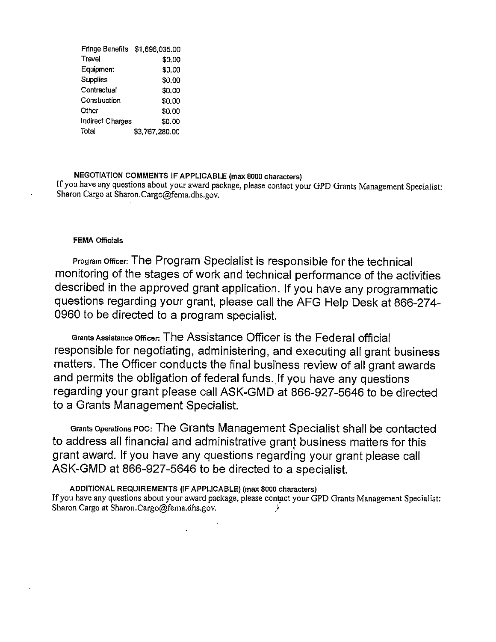| Fringe Benefits  | \$1,696,035.00 |
|------------------|----------------|
| Travel           | \$0.00         |
| Equipment        | \$0.00         |
| <b>Supplies</b>  | \$0.00         |
| Contractual      | \$0.00         |
| Construction     | \$0.00         |
| Other            | \$0.00         |
| Indirect Charges | \$0.00         |
| Total            | \$3,767,280.00 |

### NEGOTIATION COMMENTS IF APPLICABLE (max 8000 Characters)

If you have any questions about your award package, please contact your GPD Grants Management Specialist: Sharon Cargo at Sharon.Cargo@fema.dhs.gov.

### FEMA Officials

Program Officer: The Program Specialist is responsible for the technical monitoring of the stages of work and technical performance of the activities described in the approved grant application. If you have any programmatic questions regarding your grant, please call the AFG Help Desk at 866-274- <sup>0960</sup> to be directed to <sup>a</sup> program specialist.

Grants Assistance Officer: The Assistance Officer is the Federal official responsible for negotiating, administering, and executing all grant business matters. The Officer conducts the final business review of all grant awards and permits the obligation of federal funds. If you have any questions regarding your grant please call ASK-GMD at 866-927-5646 to be directed to <sup>a</sup> Grants Management Specialist.

Grants Operations Poc: The Grants Management Specialist shall be contacted to address all financial and administrative grant business matters for this grant award. If you have any questions regarding your grant please call ASK-GMD at 866-927-5646 to be directed to <sup>a</sup> specialist.

ADDITIONAL REQUIREMENTS (IF APPLICABLE) (max 8000 characters)

If you have any questions about your award package, please contact your GPD Grants Management Specialist: Sharon Cargo at Sharon.Cargo@fema.dhs.gov.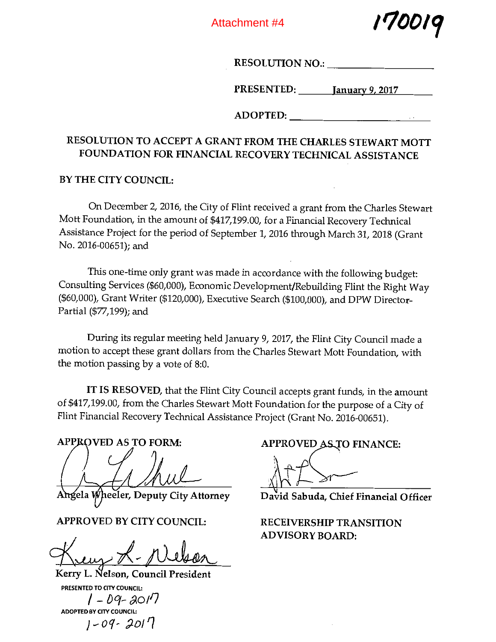Attachment #4

/r/oo!q

RESOLUTION NO.:  $\blacksquare$ 

PRESENTED: January 9, 2017

ADOPTED:

# RESOLUTION TO ACCEPT A GRANT FROM THE CHARLES STEWART MOTT FOUNDATION FOR FINANCIAL RECOVERY TECHNICAL ASSISTANCE

BY THE CITY COUNCIL:

On December 2, 2016, the City of Flint received <sup>a</sup> grant from the Charles Stewart Mott Foundation, in the amount of \$417,199.00, for <sup>a</sup> Financial Recovery Technical Assistance Project for the period of September 1, 2016 through March 31, 2018 (Grant No. 2016-00651); and

This one-time only grant was made in accordance with the following budget: Consulting Services (\$60,000), Economic Development/Rebuilding Flint the Right Way (\$60,000), Grant Writer (\$120,000), Executive Search (\$100,000), and DPW Director-Partial (\$77,199); and

During its regular meeting held January 9, 2017, the Flint City Council made <sup>a</sup> motion to accept these grant dollars from the Charles Stewart Mott Foundation, with the motion passing by <sup>a</sup> vote of 8:0.

IT IS RESOVED, that the Flint City Council accepts grant funds, in the amount of \$417,199.00, from the Charles Stewart Mott Foundation for the purpose of <sup>a</sup> City of Flint Financial Recovery Technical Assistance Project (Grant No. 2016-00651).

Angela Wheeler, Deputy City Attorney David Sabuda, Chief Financial Officer

APPROVED BY CITY COUNCIL: RECEIVERSHIP TRANSITION

Kerry L. Nelson, Council President PRESENTED TO CITY COUNCIL: I - D9- 201' I ADOPTED BY CITY COUNCIL: j-oq~ 201q

APPROVED AS TO FORM: APPROVED AS TO FINANCE:

ADVISORY BOARD: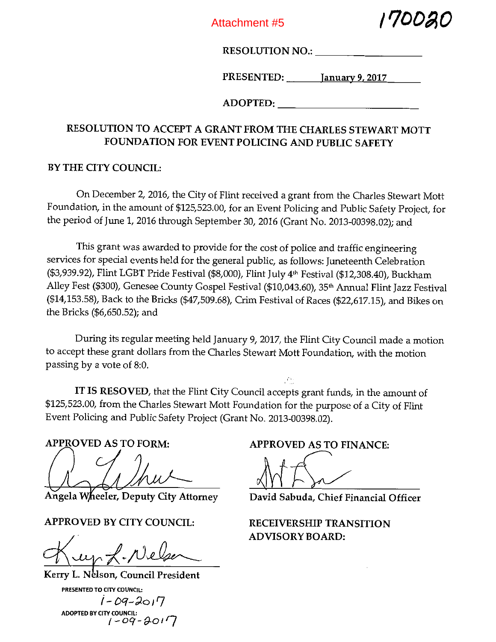Attachment #5



RESOLUTION NO.:

PRESENTED: January 9. 2017

ADOPTED:

# RESOLUTION TO ACCEPT A GRANT FROM THE CHARLES STEWART MOTT FOUNDATION FOR EVENT POLICING AND PUBLIC SAFETY

# BY THE CITY COUNCIL:

On December 2, 2016, the City of Flint received <sup>a</sup> grant from the Charles Stewart Mott Foundation, in the amount of \$125,523.00, for an Event Policing and Public Safety Project, for the period of June 1, 2016 through September 30, 2016 (Grant No. 2013-00398.02); and

This grant was awarded to provide for the cost of police and traffic engineering services for special events held for the general public, as follows: Juneteenth Celebration (\$3,939.92), Flint LGBT Pride Festival (\$8,000), Flint July 4th Festival (\$12,308.40), Buckham Alley Fest (\$300), Genesee County Gospel Festival (\$10,043.60), 35<sup>th</sup> Annual Flint Jazz Festival (\$14,153.58), Back to the Bricks (\$47,509.68), Crim Festival of Races (\$22,617.15), and Bikes on the Bricks (\$6,650.52); and

During its regular meeting held January 9, 2017, the Flint City Council made <sup>a</sup> motion to accept these grant dollars from the Charles Stewart Mott Foundation, with the motion passing by <sup>a</sup> vote of 8:0.

IT IS RESOVED, that the Flint City Council accepts grant funds, in the amount of \$125,523.00, from the Charles Stewart Mott Foundation for the purpose of <sup>a</sup> City of Flint Event Policing and Public Safety Project (Grant No. 2013-00398.02).

APPROVED AS TO FORM:

 $\left(\begin{array}{c} \sqrt{2} & \sqrt{2} \\ \sqrt{2} & \sqrt{2} & \sqrt{2} \\ \sqrt{2} & \sqrt{2} & \sqrt{2} \\ \sqrt{2} & \sqrt{2} & \sqrt{2} & \sqrt{2} \\ \sqrt{2} & \sqrt{2} & \sqrt{2} & \sqrt{2} \\ \sqrt{2} & \sqrt{2} & \sqrt{2} & \sqrt{2} \\ \sqrt{2} & \sqrt{2} & \sqrt{2} & \sqrt{2} \\ \sqrt{2} & \sqrt{2} & \sqrt{2} & \sqrt{2} \\ \sqrt{2} & \sqrt{2} & \sqrt{2} & \sqrt{2} \\ \sqrt{2} & \sqrt{2} & \sqrt{2} & \$ 

Angela Wheeler, Deputy City Attorney

APPROVED BY CITY COUNCIL:

 $K_{up}$  f. Nelser

Kerry L. Nelson, Council President PRESENTED TO CITY COUNCIL:  $1 - 09 - 2017$ ADOPTED BY CITY COUNCIL:<br> $f-Qq-\partial q$ 

APPROVED AS TO FINANCE:

David Sabuda, Chief Financial Officer

RECEIVERSHIP TRANSITION ADVISORY BOARD: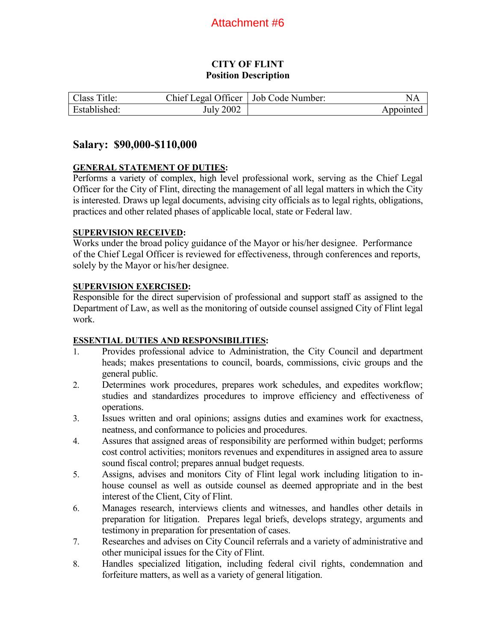## **CITY OF FLINT Position Description**

| Class Title: | Chief Legal Officer   Job Code Number: | NA        |
|--------------|----------------------------------------|-----------|
| Established: | July 2002                              | Appointed |

## **Salary: \$90,000-\$110,000**

## **GENERAL STATEMENT OF DUTIES:**

Performs a variety of complex, high level professional work, serving as the Chief Legal Officer for the City of Flint, directing the management of all legal matters in which the City is interested. Draws up legal documents, advising city officials as to legal rights, obligations, practices and other related phases of applicable local, state or Federal law.

## **SUPERVISION RECEIVED:**

Works under the broad policy guidance of the Mayor or his/her designee. Performance of the Chief Legal Officer is reviewed for effectiveness, through conferences and reports, solely by the Mayor or his/her designee.

## **SUPERVISION EXERCISED:**

Responsible for the direct supervision of professional and support staff as assigned to the Department of Law, as well as the monitoring of outside counsel assigned City of Flint legal work.

## **ESSENTIAL DUTIES AND RESPONSIBILITIES:**

- 1. Provides professional advice to Administration, the City Council and department heads; makes presentations to council, boards, commissions, civic groups and the general public.
- 2. Determines work procedures, prepares work schedules, and expedites workflow; studies and standardizes procedures to improve efficiency and effectiveness of operations.
- 3. Issues written and oral opinions; assigns duties and examines work for exactness, neatness, and conformance to policies and procedures.
- 4. Assures that assigned areas of responsibility are performed within budget; performs cost control activities; monitors revenues and expenditures in assigned area to assure sound fiscal control; prepares annual budget requests.
- 5. Assigns, advises and monitors City of Flint legal work including litigation to inhouse counsel as well as outside counsel as deemed appropriate and in the best interest of the Client, City of Flint.
- 6. Manages research, interviews clients and witnesses, and handles other details in preparation for litigation. Prepares legal briefs, develops strategy, arguments and testimony in preparation for presentation of cases.
- 7. Researches and advises on City Council referrals and a variety of administrative and other municipal issues for the City of Flint.
- 8. Handles specialized litigation, including federal civil rights, condemnation and forfeiture matters, as well as a variety of general litigation.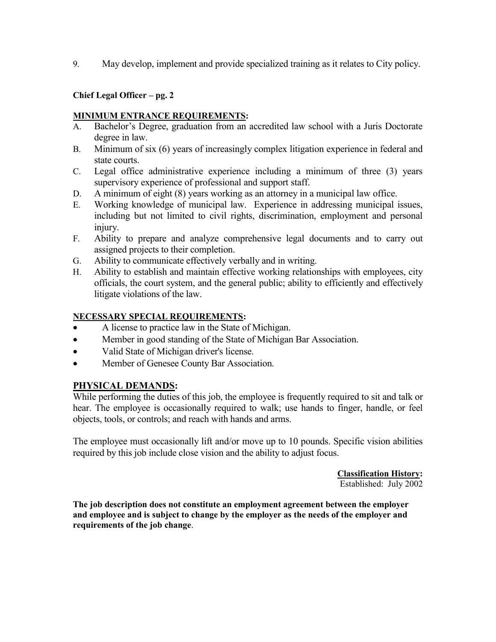9. May develop, implement and provide specialized training as it relates to City policy.

## **Chief Legal Officer – pg. 2**

## **MINIMUM ENTRANCE REQUIREMENTS:**

- A. Bachelor's Degree, graduation from an accredited law school with a Juris Doctorate degree in law.
- B. Minimum of six (6) years of increasingly complex litigation experience in federal and state courts.
- C. Legal office administrative experience including a minimum of three (3) years supervisory experience of professional and support staff.
- D. A minimum of eight (8) years working as an attorney in a municipal law office.
- E. Working knowledge of municipal law. Experience in addressing municipal issues, including but not limited to civil rights, discrimination, employment and personal injury.
- F. Ability to prepare and analyze comprehensive legal documents and to carry out assigned projects to their completion.
- G. Ability to communicate effectively verbally and in writing.
- H. Ability to establish and maintain effective working relationships with employees, city officials, the court system, and the general public; ability to efficiently and effectively litigate violations of the law.

## **NECESSARY SPECIAL REQUIREMENTS:**

- A license to practice law in the State of Michigan.
- Member in good standing of the State of Michigan Bar Association.
- Valid State of Michigan driver's license.
- Member of Genesee County Bar Association.

## **PHYSICAL DEMANDS:**

While performing the duties of this job, the employee is frequently required to sit and talk or hear. The employee is occasionally required to walk; use hands to finger, handle, or feel objects, tools, or controls; and reach with hands and arms.

The employee must occasionally lift and/or move up to 10 pounds. Specific vision abilities required by this job include close vision and the ability to adjust focus.

> **Classification History:**  Established: July 2002

**The job description does not constitute an employment agreement between the employer and employee and is subject to change by the employer as the needs of the employer and requirements of the job change**.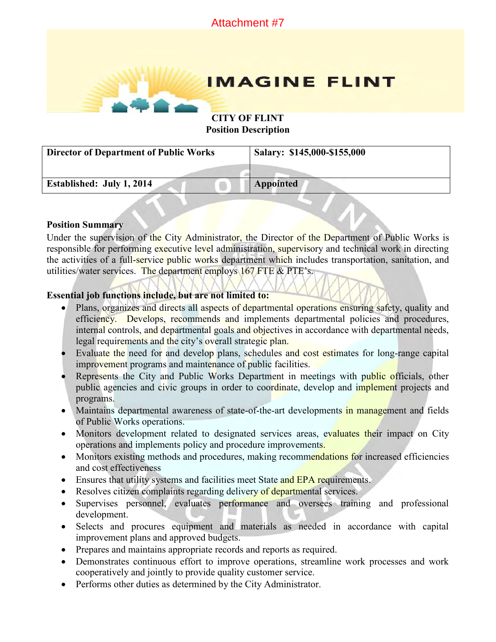

**Position Description** 

| <b>Director of Department of Public Works</b> | Salary: \$145,000-\$155,000 |
|-----------------------------------------------|-----------------------------|
|                                               |                             |
| Established: July 1, 2014                     | <b>Appointed</b>            |

## **Position Summary**

Under the supervision of the City Administrator, the Director of the Department of Public Works is responsible for performing executive level administration, supervisory and technical work in directing the activities of a full-service public works department which includes transportation, sanitation, and utilities/water services. The department employs 167 FTE & PTE's.

## **Essential job functions include, but are not limited to:**

- Plans, organizes and directs all aspects of departmental operations ensuring safety, quality and efficiency. Develops, recommends and implements departmental policies and procedures, internal controls, and departmental goals and objectives in accordance with departmental needs, legal requirements and the city's overall strategic plan.
- Evaluate the need for and develop plans, schedules and cost estimates for long-range capital improvement programs and maintenance of public facilities.
- Represents the City and Public Works Department in meetings with public officials, other public agencies and civic groups in order to coordinate, develop and implement projects and programs.
- Maintains departmental awareness of state-of-the-art developments in management and fields of Public Works operations.
- Monitors development related to designated services areas, evaluates their impact on City operations and implements policy and procedure improvements.
- Monitors existing methods and procedures, making recommendations for increased efficiencies and cost effectiveness
- **Ensures that utility systems and facilities meet State and EPA requirements.**
- Resolves citizen complaints regarding delivery of departmental services.
- Supervises personnel, evaluates performance and oversees training and professional development.
- Selects and procures equipment and materials as needed in accordance with capital improvement plans and approved budgets.
- Prepares and maintains appropriate records and reports as required.
- Demonstrates continuous effort to improve operations, streamline work processes and work cooperatively and jointly to provide quality customer service.
- Performs other duties as determined by the City Administrator.